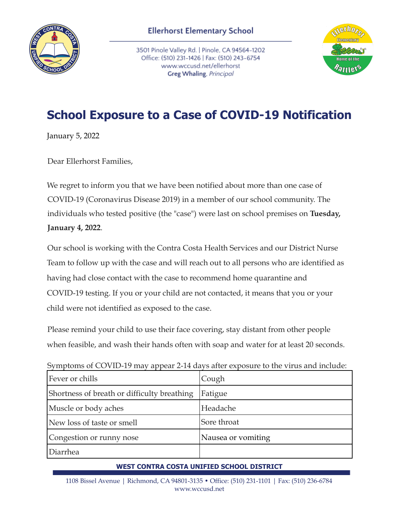

3501 Pinole Valley Rd. | Pinole, CA 94564-1202 Office: (510) 231-1426 | Fax: (510) 243-6754 www.wccusd.net/ellerhorst Greg Whaling, Principal



## **School Exposure to a Case of COVID-19 Notification**

January 5, 2022

Dear Ellerhorst Families,

We regret to inform you that we have been notified about more than one case of COVID-19 (Coronavirus Disease 2019) in a member of our school community. The individuals who tested positive (the "case") were last on school premises on **Tuesday, January 4, 2022**.

Our school is working with the Contra Costa Health Services and our District Nurse Team to follow up with the case and will reach out to all persons who are identified as having had close contact with the case to recommend home quarantine and COVID-19 testing. If you or your child are not contacted, it means that you or your child were not identified as exposed to the case.

Please remind your child to use their face covering, stay distant from other people when feasible, and wash their hands often with soap and water for at least 20 seconds.

Symptoms of COVID-19 may appear 2-14 days after exposure to the virus and include:

| Fever or chills                             | Cough              |
|---------------------------------------------|--------------------|
| Shortness of breath or difficulty breathing | Fatigue            |
| Muscle or body aches                        | Headache           |
| New loss of taste or smell                  | Sore throat        |
| Congestion or runny nose                    | Nausea or vomiting |
| Diarrhea                                    |                    |

## **WEST CONTRA COSTA UNIFIED SCHOOL DISTRICT**

1108 Bissel Avenue | Richmond, CA 94801-3135 • Office: (510) 231-1101 | Fax: (510) 236-6784 www.wccusd.net